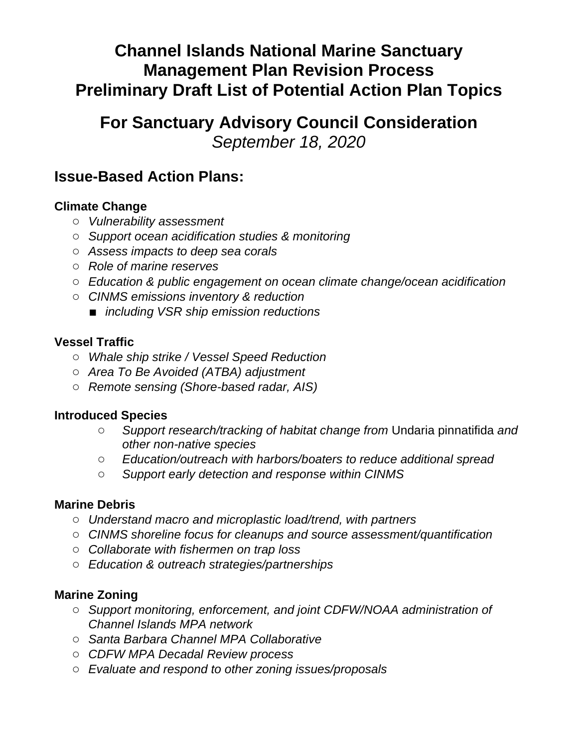# **Channel Islands National Marine Sanctuary Management Plan Revision Process Preliminary Draft List of Potential Action Plan Topics**

# **For Sanctuary Advisory Council Consideration** *September 18, 2020*

# **Issue-Based Action Plans:**

## **Climate Change**

- *Vulnerability assessment*
- *Support ocean acidification studies & monitoring*
- *Assess impacts to deep sea corals*
- *Role of marine reserves*
- *Education & public engagement on ocean climate change/ocean acidification*
- *CINMS emissions inventory & reduction* 
	- *including VSR ship emission reductions*

### **Vessel Traffic**

- *Whale ship strike / Vessel Speed Reduction*
- *Area To Be Avoided (ATBA) adjustment*
- *Remote sensing (Shore-based radar, AIS)*

### **Introduced Species**

- *Support research/tracking of habitat change from* Undaria pinnatifida *and other non-native species*
- *Education/outreach with harbors/boaters to reduce additional spread*
- *Support early detection and response within CINMS*

### **Marine Debris**

- *Understand macro and microplastic load/trend, with partners*
- *CINMS shoreline focus for cleanups and source assessment/quantification*
- *Collaborate with fishermen on trap loss*
- *Education & outreach strategies/partnerships*

### **Marine Zoning**

- *Support monitoring, enforcement, and joint CDFW/NOAA administration of Channel Islands MPA network*
- *Santa Barbara Channel MPA Collaborative*
- *CDFW MPA Decadal Review process*
- *Evaluate and respond to other zoning issues/proposals*